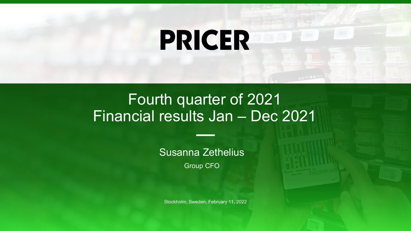# **PRICER**

### Fourth quarter of 2021 Financial results Jan – Dec 2021

Susanna Zethelius

Group CFO

Stockholm, Sweden, February 11, 2022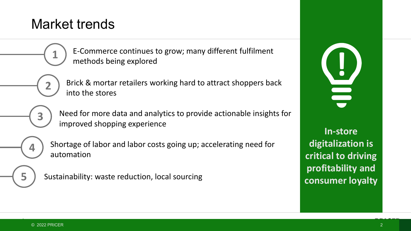#### Market trends

E-Commerce continues to grow; many different fulfilment methods being explored

Brick & mortar retailers working hard to attract shoppers back into the stores

**3**

**2**

**1**

Need for more data and analytics to provide actionable insights for improved shopping experience

**4**

Shortage of labor and labor costs going up; accelerating need for automation

**5**

Sustainability: waste reduction, local sourcing



**In-store digitalization is critical to driving profitability and consumer loyalty**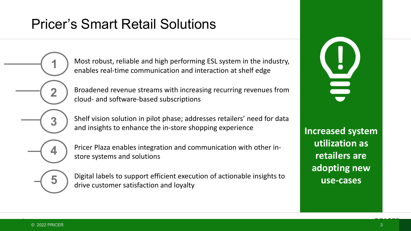### Pricer's Smart Retail Solutions

**If all the system in the industry, and high performing ESL system in the industry, and interaction at shelf edge** enables real-time communication and interaction at shelf edge

Broadened revenue streams with increasing recurring revenues from cloud- and software-based subscriptions

Shelf vision solution in pilot phase; addresses retailers' need for data and insights to enhance the in-store shopping experience

**4**

**1**

**2**

**3**

Pricer Plaza enables integration and communication with other instore systems and solutions

**5**

Digital labels to support efficient execution of actionable insights to drive customer satisfaction and loyalty

**Increased system utilization as retailers are adopting new use-cases**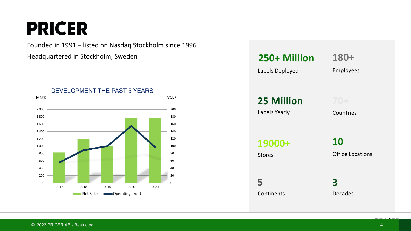## **PRICER**

Founded in 1991 – listed on Nasdaq Stockholm since 1996

Headquartered in Stockholm, Sweden



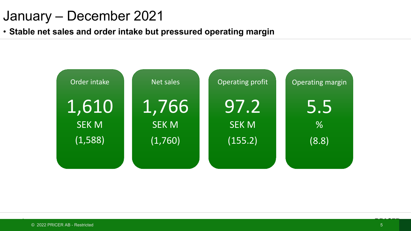### January – December 2021

• **Stable net sales and order intake but pressured operating margin**

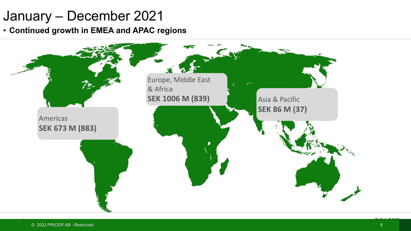### January – December 2021

• **Continued growth in EMEA and APAC regions**